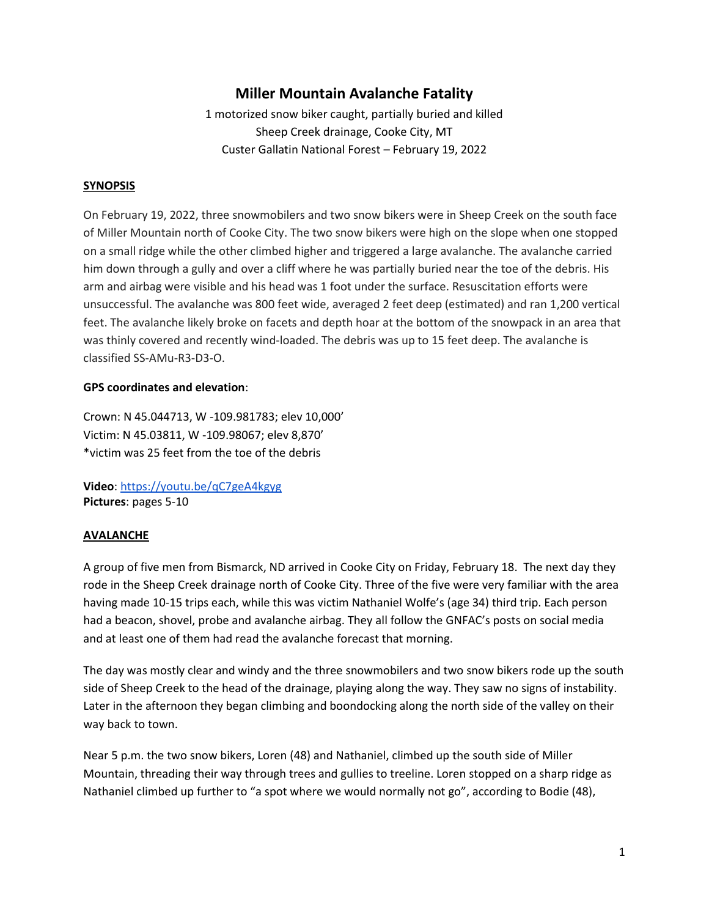# **Miller Mountain Avalanche Fatality**

1 motorized snow biker caught, partially buried and killed Sheep Creek drainage, Cooke City, MT Custer Gallatin National Forest – February 19, 2022

#### **SYNOPSIS**

On February 19, 2022, three snowmobilers and two snow bikers were in Sheep Creek on the south face of Miller Mountain north of Cooke City. The two snow bikers were high on the slope when one stopped on a small ridge while the other climbed higher and triggered a large avalanche. The avalanche carried him down through a gully and over a cliff where he was partially buried near the toe of the debris. His arm and airbag were visible and his head was 1 foot under the surface. Resuscitation efforts were unsuccessful. The avalanche was 800 feet wide, averaged 2 feet deep (estimated) and ran 1,200 vertical feet. The avalanche likely broke on facets and depth hoar at the bottom of the snowpack in an area that was thinly covered and recently wind-loaded. The debris was up to 15 feet deep. The avalanche is classified SS-AMu-R3-D3-O.

#### **GPS coordinates and elevation**:

Crown: N 45.044713, W -109.981783; elev 10,000' Victim: N 45.03811, W -109.98067; elev 8,870' \*victim was 25 feet from the toe of the debris

**Video**:<https://youtu.be/qC7geA4kgyg> **Pictures**: pages 5-10

## **AVALANCHE**

A group of five men from Bismarck, ND arrived in Cooke City on Friday, February 18. The next day they rode in the Sheep Creek drainage north of Cooke City. Three of the five were very familiar with the area having made 10-15 trips each, while this was victim Nathaniel Wolfe's (age 34) third trip. Each person had a beacon, shovel, probe and avalanche airbag. They all follow the GNFAC's posts on social media and at least one of them had read the avalanche forecast that morning.

The day was mostly clear and windy and the three snowmobilers and two snow bikers rode up the south side of Sheep Creek to the head of the drainage, playing along the way. They saw no signs of instability. Later in the afternoon they began climbing and boondocking along the north side of the valley on their way back to town.

Near 5 p.m. the two snow bikers, Loren (48) and Nathaniel, climbed up the south side of Miller Mountain, threading their way through trees and gullies to treeline. Loren stopped on a sharp ridge as Nathaniel climbed up further to "a spot where we would normally not go", according to Bodie (48),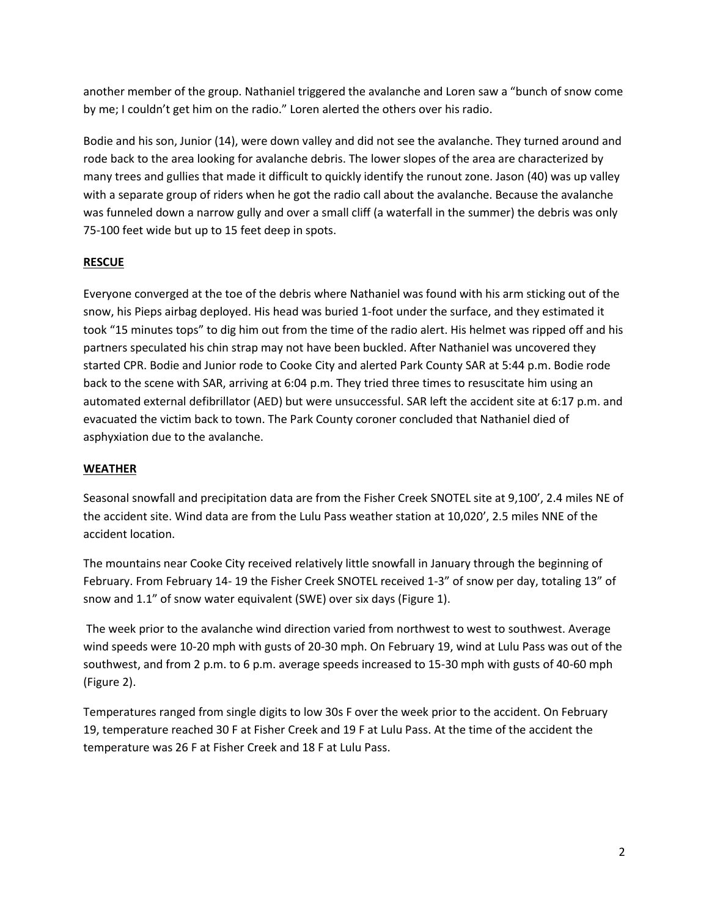another member of the group. Nathaniel triggered the avalanche and Loren saw a "bunch of snow come by me; I couldn't get him on the radio." Loren alerted the others over his radio.

Bodie and his son, Junior (14), were down valley and did not see the avalanche. They turned around and rode back to the area looking for avalanche debris. The lower slopes of the area are characterized by many trees and gullies that made it difficult to quickly identify the runout zone. Jason (40) was up valley with a separate group of riders when he got the radio call about the avalanche. Because the avalanche was funneled down a narrow gully and over a small cliff (a waterfall in the summer) the debris was only 75-100 feet wide but up to 15 feet deep in spots.

## **RESCUE**

Everyone converged at the toe of the debris where Nathaniel was found with his arm sticking out of the snow, his Pieps airbag deployed. His head was buried 1-foot under the surface, and they estimated it took "15 minutes tops" to dig him out from the time of the radio alert. His helmet was ripped off and his partners speculated his chin strap may not have been buckled. After Nathaniel was uncovered they started CPR. Bodie and Junior rode to Cooke City and alerted Park County SAR at 5:44 p.m. Bodie rode back to the scene with SAR, arriving at 6:04 p.m. They tried three times to resuscitate him using an automated external defibrillator (AED) but were unsuccessful. SAR left the accident site at 6:17 p.m. and evacuated the victim back to town. The Park County coroner concluded that Nathaniel died of asphyxiation due to the avalanche.

#### **WEATHER**

Seasonal snowfall and precipitation data are from the Fisher Creek SNOTEL site at 9,100', 2.4 miles NE of the accident site. Wind data are from the Lulu Pass weather station at 10,020', 2.5 miles NNE of the accident location.

The mountains near Cooke City received relatively little snowfall in January through the beginning of February. From February 14- 19 the Fisher Creek SNOTEL received 1-3" of snow per day, totaling 13" of snow and 1.1" of snow water equivalent (SWE) over six days (Figure 1).

The week prior to the avalanche wind direction varied from northwest to west to southwest. Average wind speeds were 10-20 mph with gusts of 20-30 mph. On February 19, wind at Lulu Pass was out of the southwest, and from 2 p.m. to 6 p.m. average speeds increased to 15-30 mph with gusts of 40-60 mph (Figure 2).

Temperatures ranged from single digits to low 30s F over the week prior to the accident. On February 19, temperature reached 30 F at Fisher Creek and 19 F at Lulu Pass. At the time of the accident the temperature was 26 F at Fisher Creek and 18 F at Lulu Pass.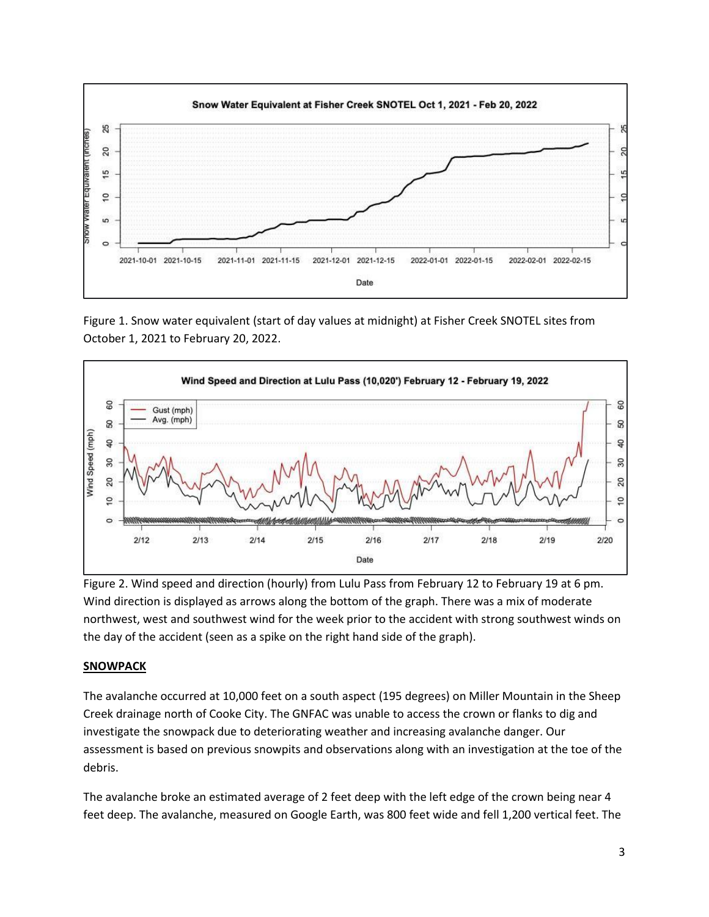

Figure 1. Snow water equivalent (start of day values at midnight) at Fisher Creek SNOTEL sites from October 1, 2021 to February 20, 2022.



Figure 2. Wind speed and direction (hourly) from Lulu Pass from February 12 to February 19 at 6 pm. Wind direction is displayed as arrows along the bottom of the graph. There was a mix of moderate northwest, west and southwest wind for the week prior to the accident with strong southwest winds on the day of the accident (seen as a spike on the right hand side of the graph).

#### **SNOWPACK**

The avalanche occurred at 10,000 feet on a south aspect (195 degrees) on Miller Mountain in the Sheep Creek drainage north of Cooke City. The GNFAC was unable to access the crown or flanks to dig and investigate the snowpack due to deteriorating weather and increasing avalanche danger. Our assessment is based on previous snowpits and observations along with an investigation at the toe of the debris.

The avalanche broke an estimated average of 2 feet deep with the left edge of the crown being near 4 feet deep. The avalanche, measured on Google Earth, was 800 feet wide and fell 1,200 vertical feet. The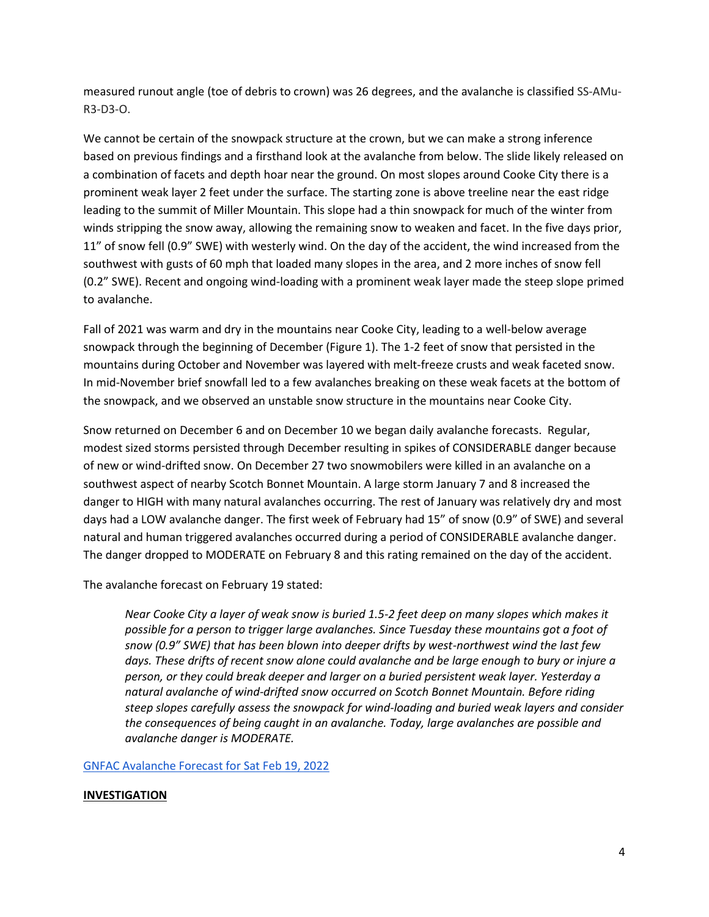measured runout angle (toe of debris to crown) was 26 degrees, and the avalanche is classified SS-AMu-R3-D3-O.

We cannot be certain of the snowpack structure at the crown, but we can make a strong inference based on previous findings and a firsthand look at the avalanche from below. The slide likely released on a combination of facets and depth hoar near the ground. On most slopes around Cooke City there is a prominent weak layer 2 feet under the surface. The starting zone is above treeline near the east ridge leading to the summit of Miller Mountain. This slope had a thin snowpack for much of the winter from winds stripping the snow away, allowing the remaining snow to weaken and facet. In the five days prior, 11" of snow fell (0.9" SWE) with westerly wind. On the day of the accident, the wind increased from the southwest with gusts of 60 mph that loaded many slopes in the area, and 2 more inches of snow fell (0.2" SWE). Recent and ongoing wind-loading with a prominent weak layer made the steep slope primed to avalanche.

Fall of 2021 was warm and dry in the mountains near Cooke City, leading to a well-below average snowpack through the beginning of December (Figure 1). The 1-2 feet of snow that persisted in the mountains during October and November was layered with melt-freeze crusts and weak faceted snow. In mid-November brief snowfall led to a few avalanches breaking on these weak facets at the bottom of the snowpack, and we observed an unstable snow structure in the mountains near Cooke City.

Snow returned on December 6 and on December 10 we began daily avalanche forecasts. Regular, modest sized storms persisted through December resulting in spikes of CONSIDERABLE danger because of new or wind-drifted snow. On December 27 two snowmobilers were killed in an avalanche on a southwest aspect of nearby Scotch Bonnet Mountain. A large storm January 7 and 8 increased the danger to HIGH with many natural avalanches occurring. The rest of January was relatively dry and most days had a LOW avalanche danger. The first week of February had 15" of snow (0.9" of SWE) and several natural and human triggered avalanches occurred during a period of CONSIDERABLE avalanche danger. The danger dropped to MODERATE on February 8 and this rating remained on the day of the accident.

The avalanche forecast on February 19 stated:

*Near Cooke City a layer of weak snow is buried 1.5-2 feet deep on many slopes which makes it possible for a person to trigger large avalanches. Since Tuesday these mountains got a foot of snow (0.9" SWE) that has been blown into deeper drifts by west-northwest wind the last few days. These drifts of recent snow alone could avalanche and be large enough to bury or injure a person, or they could break deeper and larger on a buried persistent weak layer. Yesterday a natural avalanche of wind-drifted snow occurred on Scotch Bonnet Mountain. Before riding steep slopes carefully assess the snowpack for wind-loading and buried weak layers and consider the consequences of being caught in an avalanche. Today, large avalanches are possible and avalanche danger is MODERATE.*

[GNFAC Avalanche Forecast for Sat Feb 19, 2022](https://www.mtavalanche.com/forecast/22/02/19)

#### **INVESTIGATION**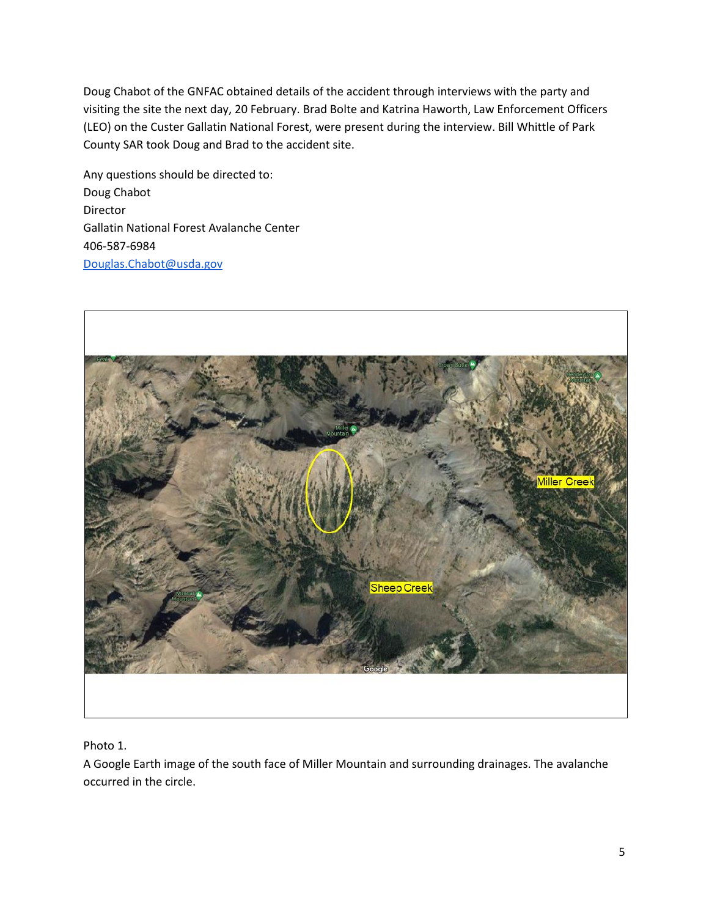Doug Chabot of the GNFAC obtained details of the accident through interviews with the party and visiting the site the next day, 20 February. Brad Bolte and Katrina Haworth, Law Enforcement Officers (LEO) on the Custer Gallatin National Forest, were present during the interview. Bill Whittle of Park County SAR took Doug and Brad to the accident site.

Any questions should be directed to: Doug Chabot Director Gallatin National Forest Avalanche Center 406-587-6984 [Douglas.Chabot@usda.gov](mailto:Douglas.Chabot@usda.gov)



Photo 1.

A Google Earth image of the south face of Miller Mountain and surrounding drainages. The avalanche occurred in the circle.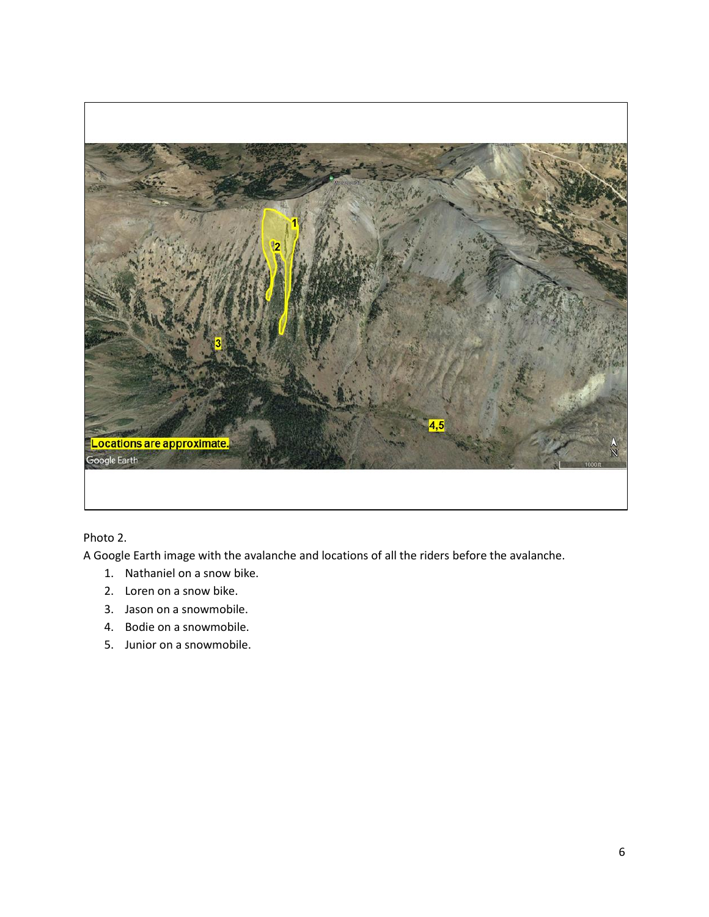

## Photo 2.

A Google Earth image with the avalanche and locations of all the riders before the avalanche.

- 1. Nathaniel on a snow bike.
- 2. Loren on a snow bike.
- 3. Jason on a snowmobile.
- 4. Bodie on a snowmobile.
- 5. Junior on a snowmobile.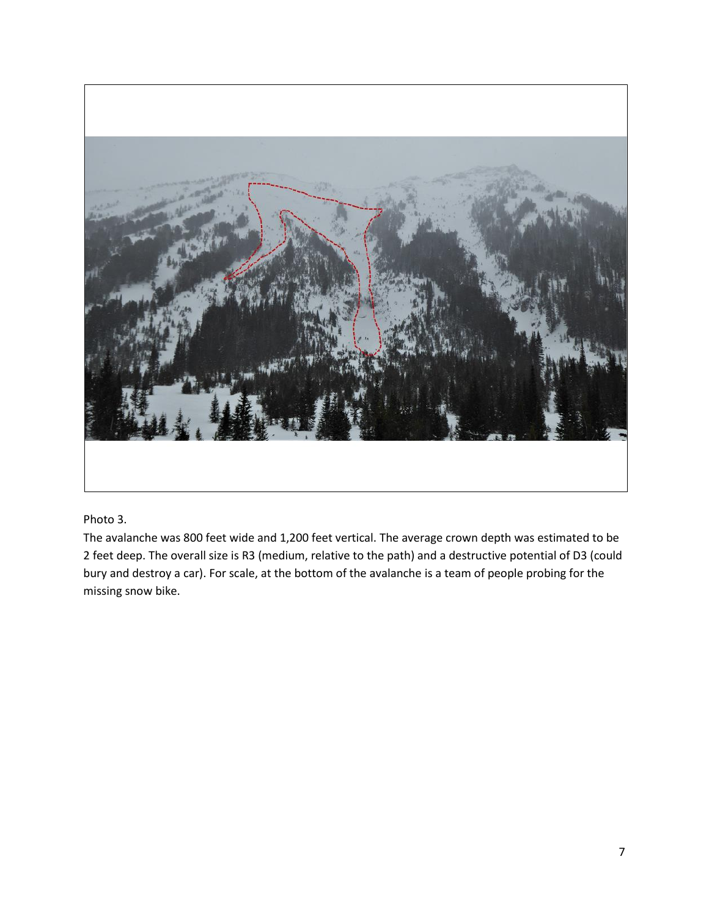

## Photo 3.

The avalanche was 800 feet wide and 1,200 feet vertical. The average crown depth was estimated to be 2 feet deep. The overall size is R3 (medium, relative to the path) and a destructive potential of D3 (could bury and destroy a car). For scale, at the bottom of the avalanche is a team of people probing for the missing snow bike.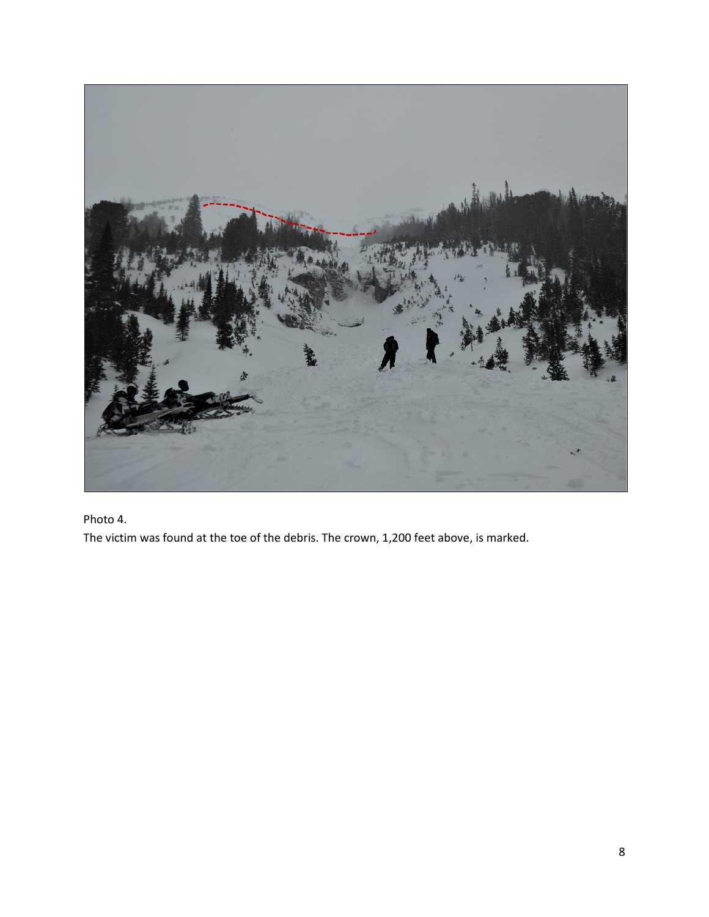

Photo 4.

The victim was found at the toe of the debris. The crown, 1,200 feet above, is marked.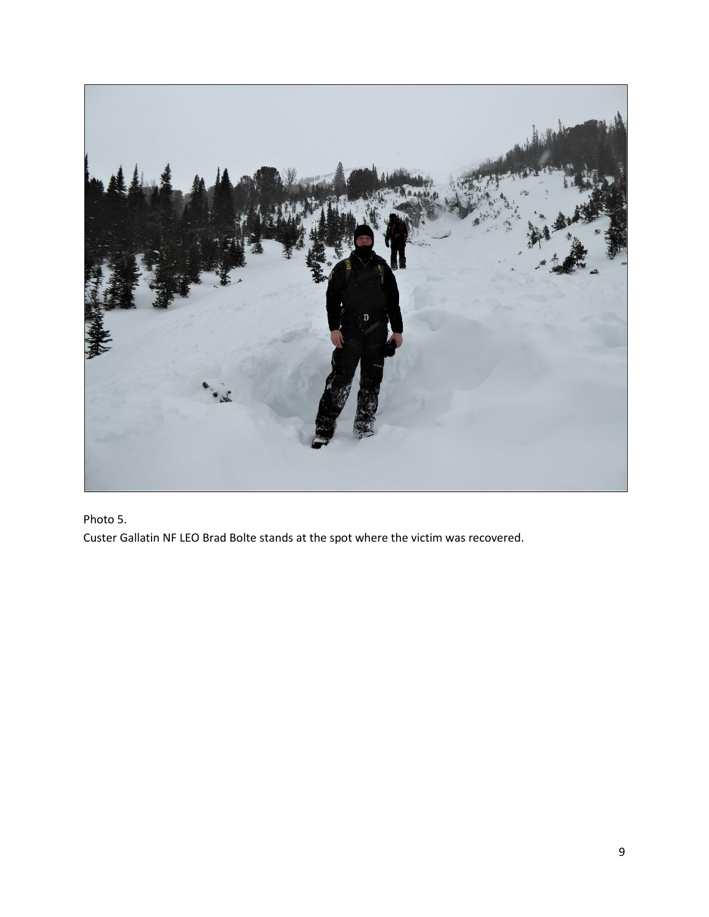

Photo 5.

Custer Gallatin NF LEO Brad Bolte stands at the spot where the victim was recovered.